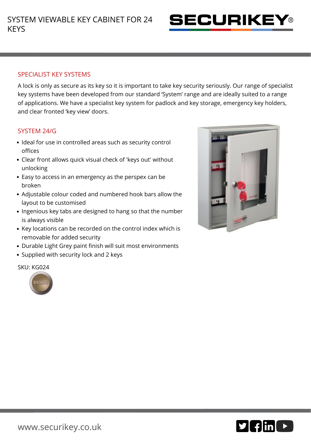

## SPECIALIST KEY SYSTEMS

A lock is only as secure as its key so it is important to take key security seriously. Our range of specialist key systems have been developed from our standard 'System' range and are ideally suited to a range of applications. We have a specialist key system for padlock and key storage, emergency key holders, and clear fronted 'key view' doors.

## SYSTEM 24/G

- Ideal for use in controlled areas such as security control offices
- Clear front allows quick visual check of 'keys out' without unlocking
- Easy to access in an emergency as the perspex can be broken
- Adjustable colour coded and numbered hook bars allow the layout to be customised
- Ingenious key tabs are designed to hang so that the number is always visible
- Key locations can be recorded on the control index which is removable for added security
- Durable Light Grey paint finish will suit most environments
- Supplied with security lock and 2 keys

SKU: KG024





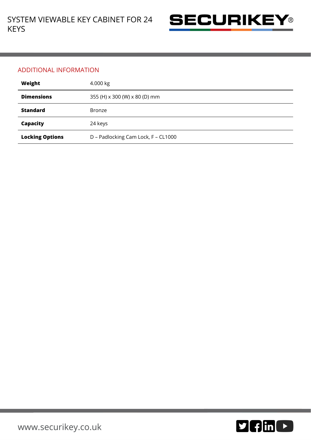

## ADDITIONAL INFORMATION

| Weight                 | 4.000 kg                            |
|------------------------|-------------------------------------|
| <b>Dimensions</b>      | 355 (H) x 300 (W) x 80 (D) mm       |
| <b>Standard</b>        | <b>Bronze</b>                       |
| Capacity               | 24 keys                             |
| <b>Locking Options</b> | D - Padlocking Cam Lock, F - CL1000 |